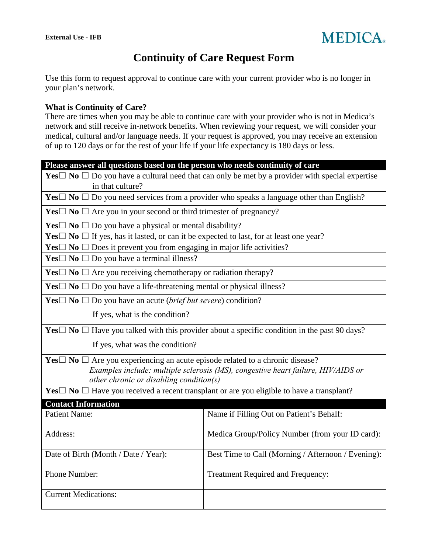

# **Continuity of Care Request Form**

Use this form to request approval to continue care with your current provider who is no longer in your plan's network.

#### **What is Continuity of Care?**

There are times when you may be able to continue care with your provider who is not in Medica's network and still receive in-network benefits. When reviewing your request, we will consider your medical, cultural and/or language needs. If your request is approved, you may receive an extension of up to 120 days or for the rest of your life if your life expectancy is 180 days or less.

| Please answer all questions based on the person who needs continuity of care                                                   |                                                    |  |
|--------------------------------------------------------------------------------------------------------------------------------|----------------------------------------------------|--|
| Yes $\Box$ No $\Box$ Do you have a cultural need that can only be met by a provider with special expertise<br>in that culture? |                                                    |  |
| Yes $\Box$ No $\Box$ Do you need services from a provider who speaks a language other than English?                            |                                                    |  |
| <b>Yes</b> $\Box$ <b>No</b> $\Box$ Are you in your second or third trimester of pregnancy?                                     |                                                    |  |
| <b>Yes</b> $\Box$ <b>No</b> $\Box$ <b>Do</b> you have a physical or mental disability?                                         |                                                    |  |
| Yes $\Box$ No $\Box$ If yes, has it lasted, or can it be expected to last, for at least one year?                              |                                                    |  |
| <b>Yes</b> $\Box$ <b>No</b> $\Box$ Does it prevent you from engaging in major life activities?                                 |                                                    |  |
| <b>Yes</b> $\Box$ <b>No</b> $\Box$ <b>Do</b> you have a terminal illness?                                                      |                                                    |  |
| <b>Yes</b> $\Box$ <b>No</b> $\Box$ Are you receiving chemotherapy or radiation therapy?                                        |                                                    |  |
| <b>Yes</b> $\Box$ <b>No</b> $\Box$ <b>Do</b> you have a life-threatening mental or physical illness?                           |                                                    |  |
| <b>Yes</b> $\Box$ <b>No</b> $\Box$ Do you have an acute ( <i>brief but severe</i> ) condition?                                 |                                                    |  |
| If yes, what is the condition?                                                                                                 |                                                    |  |
| <b>Yes</b> $\Box$ <b>No</b> $\Box$ Have you talked with this provider about a specific condition in the past 90 days?          |                                                    |  |
| If yes, what was the condition?                                                                                                |                                                    |  |
| <b>Yes</b> $\Box$ No $\Box$ Are you experiencing an acute episode related to a chronic disease?                                |                                                    |  |
| Examples include: multiple sclerosis (MS), congestive heart failure, HIV/AIDS or<br>other chronic or disabling condition(s)    |                                                    |  |
| <b>Yes</b> $\Box$ <b>No</b> $\Box$ Have you received a recent transplant or are you eligible to have a transplant?             |                                                    |  |
| <b>Contact Information</b>                                                                                                     |                                                    |  |
| <b>Patient Name:</b>                                                                                                           | Name if Filling Out on Patient's Behalf:           |  |
| Address:                                                                                                                       | Medica Group/Policy Number (from your ID card):    |  |
| Date of Birth (Month / Date / Year):                                                                                           | Best Time to Call (Morning / Afternoon / Evening): |  |
| Phone Number:                                                                                                                  | Treatment Required and Frequency:                  |  |
| <b>Current Medications:</b>                                                                                                    |                                                    |  |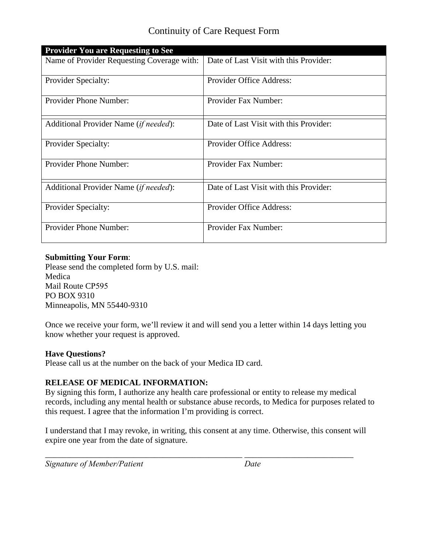## Continuity of Care Request Form

| <b>Provider You are Requesting to See</b>      |                                        |
|------------------------------------------------|----------------------------------------|
| Name of Provider Requesting Coverage with:     | Date of Last Visit with this Provider: |
| <b>Provider Specialty:</b>                     | <b>Provider Office Address:</b>        |
| Provider Phone Number:                         | Provider Fax Number:                   |
| Additional Provider Name ( <i>if needed</i> ): | Date of Last Visit with this Provider: |
| <b>Provider Specialty:</b>                     | Provider Office Address:               |
| <b>Provider Phone Number:</b>                  | Provider Fax Number:                   |
| Additional Provider Name (if needed):          | Date of Last Visit with this Provider: |
| <b>Provider Specialty:</b>                     | Provider Office Address:               |
| <b>Provider Phone Number:</b>                  | Provider Fax Number:                   |

### **Submitting Your Form**:

Please send the completed form by U.S. mail: Medica Mail Route CP595 PO BOX 9310 Minneapolis, MN 55440-9310

Once we receive your form, we'll review it and will send you a letter within 14 days letting you know whether your request is approved.

## **Have Questions?**

Please call us at the number on the back of your Medica ID card.

## **RELEASE OF MEDICAL INFORMATION:**

By signing this form, I authorize any health care professional or entity to release my medical records, including any mental health or substance abuse records, to Medica for purposes related to this request. I agree that the information I'm providing is correct.

I understand that I may revoke, in writing, this consent at any time. Otherwise, this consent will expire one year from the date of signature.

\_\_\_\_\_\_\_\_\_\_\_\_\_\_\_\_\_\_\_\_\_\_\_\_\_\_\_\_\_\_\_\_\_\_\_\_\_\_\_\_\_\_\_\_\_\_\_ \_\_\_\_\_\_\_\_\_\_\_\_\_\_\_\_\_\_\_\_\_\_\_\_\_\_

*Signature of Member/Patient Date*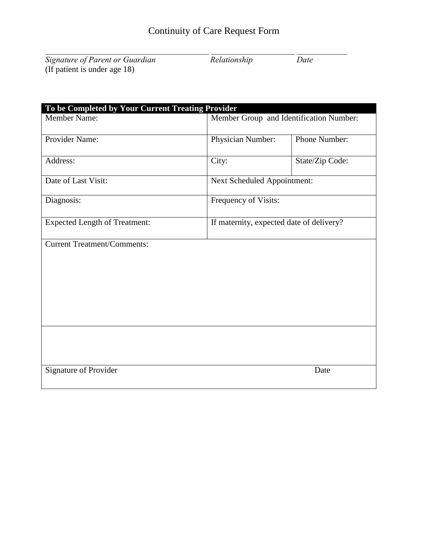*Signature of Parent or Guardian Relationship Date* (If patient is under age 18)

| To be Completed by Your Current Treating Provider |                                          |                 |
|---------------------------------------------------|------------------------------------------|-----------------|
| Member Name:                                      | Member Group and Identification Number:  |                 |
| Provider Name:                                    | Physician Number:                        | Phone Number:   |
| Address:                                          | City:                                    | State/Zip Code: |
| Date of Last Visit:                               | Next Scheduled Appointment:              |                 |
| Diagnosis:                                        | Frequency of Visits:                     |                 |
| <b>Expected Length of Treatment:</b>              | If maternity, expected date of delivery? |                 |
| <b>Current Treatment/Comments:</b>                |                                          |                 |
|                                                   |                                          |                 |
| Signature of Provider                             |                                          | Date            |